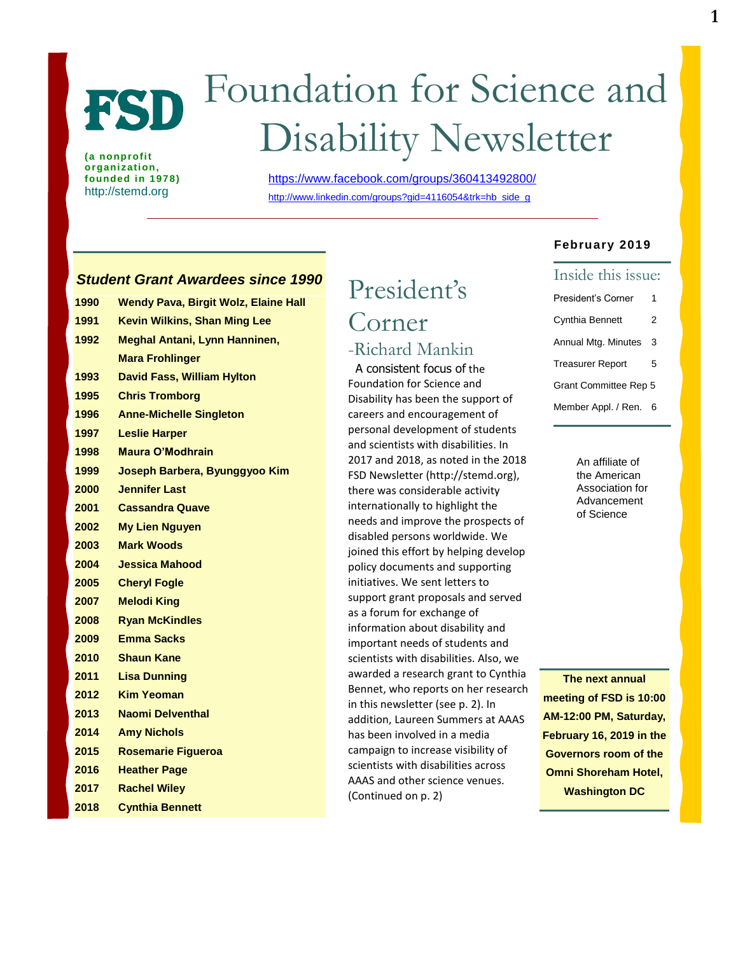# FSD

**(a nonprofit organization, founded in 1978)** http://stemd.org

## Foundation for Science and Disability Newsletter

<https://www.facebook.com/groups/360413492800/> http://www.linkedin.com/groups?gid=4116054&trk=hb\_side\_g

#### *Student Grant Awardees since 1990*

| 1990 | <b>Wendy Pava, Birgit Wolz, Elaine Hall</b> |
|------|---------------------------------------------|
| 1991 | <b>Kevin Wilkins, Shan Ming Lee</b>         |
| 1992 | <b>Meghal Antani, Lynn Hanninen,</b>        |
|      | <b>Mara Frohlinger</b>                      |
| 1993 | <b>David Fass, William Hylton</b>           |
| 1995 | <b>Chris Tromborg</b>                       |
| 1996 | <b>Anne-Michelle Singleton</b>              |
| 1997 | <b>Leslie Harper</b>                        |
| 1998 | Maura O'Modhrain                            |
| 1999 | Joseph Barbera, Byunggyoo Kim               |
| 2000 | <b>Jennifer Last</b>                        |
| 2001 | <b>Cassandra Quave</b>                      |
| 2002 | <b>My Lien Nguyen</b>                       |
| 2003 | <b>Mark Woods</b>                           |
| 2004 | <b>Jessica Mahood</b>                       |
| 2005 | <b>Cheryl Fogle</b>                         |
| 2007 | <b>Melodi King</b>                          |
| 2008 | <b>Ryan McKindles</b>                       |
| 2009 | <b>Emma Sacks</b>                           |
| 2010 | <b>Shaun Kane</b>                           |
| 2011 | <b>Lisa Dunning</b>                         |
| 2012 | <b>Kim Yeoman</b>                           |
| 2013 | <b>Naomi Delventhal</b>                     |
| 2014 | <b>Amy Nichols</b>                          |
| 2015 | <b>Rosemarie Figueroa</b>                   |
| 2016 | <b>Heather Page</b>                         |
| 2017 | <b>Rachel Wiley</b>                         |
| 2018 | <b>Cynthia Bennett</b>                      |

## President's Corner -Richard Mankin A consistent focus of the

Foundation for Science and Disability has been the support of careers and encouragement of personal development of students and scientists with disabilities. In 2017 and 2018, as noted in the 2018 FSD Newsletter (http://stemd.org), there was considerable activity internationally to highlight the needs and improve the prospects of disabled persons worldwide. We joined this effort by helping develop policy documents and supporting initiatives. We sent letters to support grant proposals and served as a forum for exchange of information about disability and important needs of students and scientists with disabilities. Also, we awarded a research grant to Cynthia Bennet, who reports on her research in this newsletter (see p. 2). In addition, Laureen Summers at AAAS has been involved in a media campaign to increase visibility of scientists with disabilities across AAAS and other science venues. (Continued on p. 2)

#### **February 2019**

#### Inside this issue:

- President's Corner 1 Cynthia Bennett 2 Annual Mtg. Minutes 3 Treasurer Report 5 Grant Committee Rep 5
- Member Appl. / Ren. 6

An affiliate of the American Association for Advancement of Science

**The next annual meeting of FSD is 10:00 AM-12:00 PM, Saturday, February 16, 2019 in the Governors room of the Omni Shoreham Hotel, Washington DC**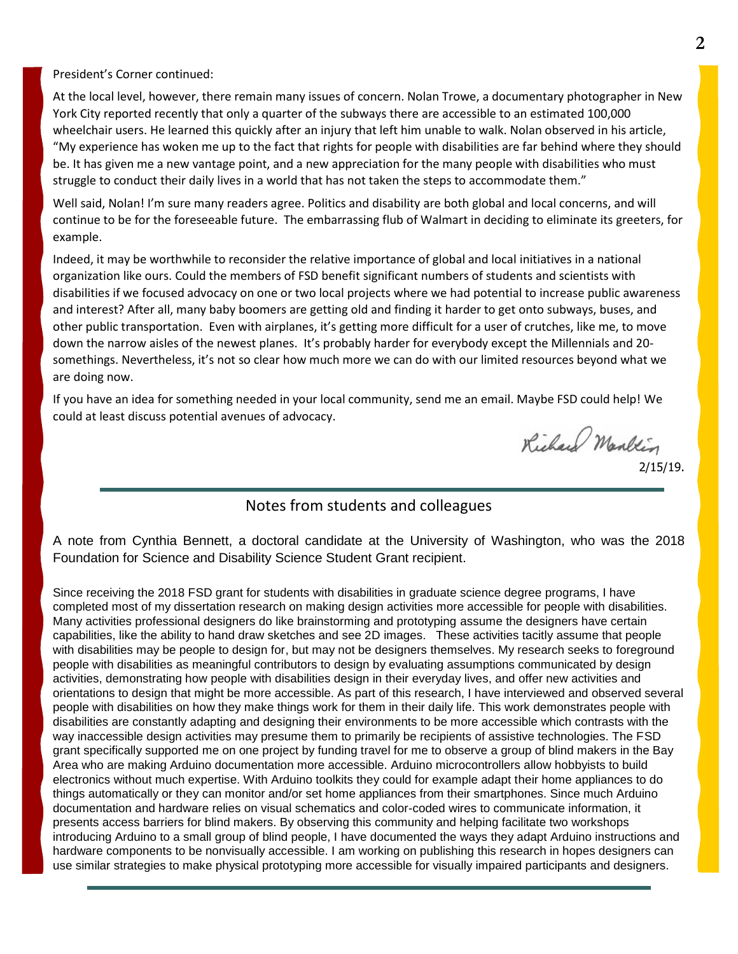President's Corner continued:

At the local level, however, there remain many issues of concern. Nolan Trowe, a documentary photographer in New York City reported recently that only a quarter of the subways there are accessible to an estimated 100,000 wheelchair users. He learned this quickly after an injury that left him unable to walk. Nolan observed in his article, "My experience has woken me up to the fact that rights for people with disabilities are far behind where they should be. It has given me a new vantage point, and a new appreciation for the many people with disabilities who must struggle to conduct their daily lives in a world that has not taken the steps to accommodate them."

Well said, Nolan! I'm sure many readers agree. Politics and disability are both global and local concerns, and will continue to be for the foreseeable future. The embarrassing flub of Walmart in deciding to eliminate its greeters, for example.

Indeed, it may be worthwhile to reconsider the relative importance of global and local initiatives in a national organization like ours. Could the members of FSD benefit significant numbers of students and scientists with disabilities if we focused advocacy on one or two local projects where we had potential to increase public awareness and interest? After all, many baby boomers are getting old and finding it harder to get onto subways, buses, and other public transportation. Even with airplanes, it's getting more difficult for a user of crutches, like me, to move down the narrow aisles of the newest planes. It's probably harder for everybody except the Millennials and 20 somethings. Nevertheless, it's not so clear how much more we can do with our limited resources beyond what we are doing now.

If you have an idea for something needed in your local community, send me an email. Maybe FSD could help! We could at least discuss potential avenues of advocacy.

Richard Mankin

2/15/19.

#### Notes from students and colleagues

A note from Cynthia Bennett, a doctoral candidate at the University of Washington, who was the 2018 Foundation for Science and Disability Science Student Grant recipient.

Since receiving the 2018 FSD grant for students with disabilities in graduate science degree programs, I have completed most of my dissertation research on making design activities more accessible for people with disabilities. Many activities professional designers do like brainstorming and prototyping assume the designers have certain capabilities, like the ability to hand draw sketches and see 2D images. These activities tacitly assume that people with disabilities may be people to design for, but may not be designers themselves. My research seeks to foreground people with disabilities as meaningful contributors to design by evaluating assumptions communicated by design activities, demonstrating how people with disabilities design in their everyday lives, and offer new activities and orientations to design that might be more accessible. As part of this research, I have interviewed and observed several people with disabilities on how they make things work for them in their daily life. This work demonstrates people with disabilities are constantly adapting and designing their environments to be more accessible which contrasts with the way inaccessible design activities may presume them to primarily be recipients of assistive technologies. The FSD grant specifically supported me on one project by funding travel for me to observe a group of blind makers in the Bay Area who are making Arduino documentation more accessible. Arduino microcontrollers allow hobbyists to build electronics without much expertise. With Arduino toolkits they could for example adapt their home appliances to do things automatically or they can monitor and/or set home appliances from their smartphones. Since much Arduino documentation and hardware relies on visual schematics and color-coded wires to communicate information, it presents access barriers for blind makers. By observing this community and helping facilitate two workshops introducing Arduino to a small group of blind people, I have documented the ways they adapt Arduino instructions and hardware components to be nonvisually accessible. I am working on publishing this research in hopes designers can use similar strategies to make physical prototyping more accessible for visually impaired participants and designers.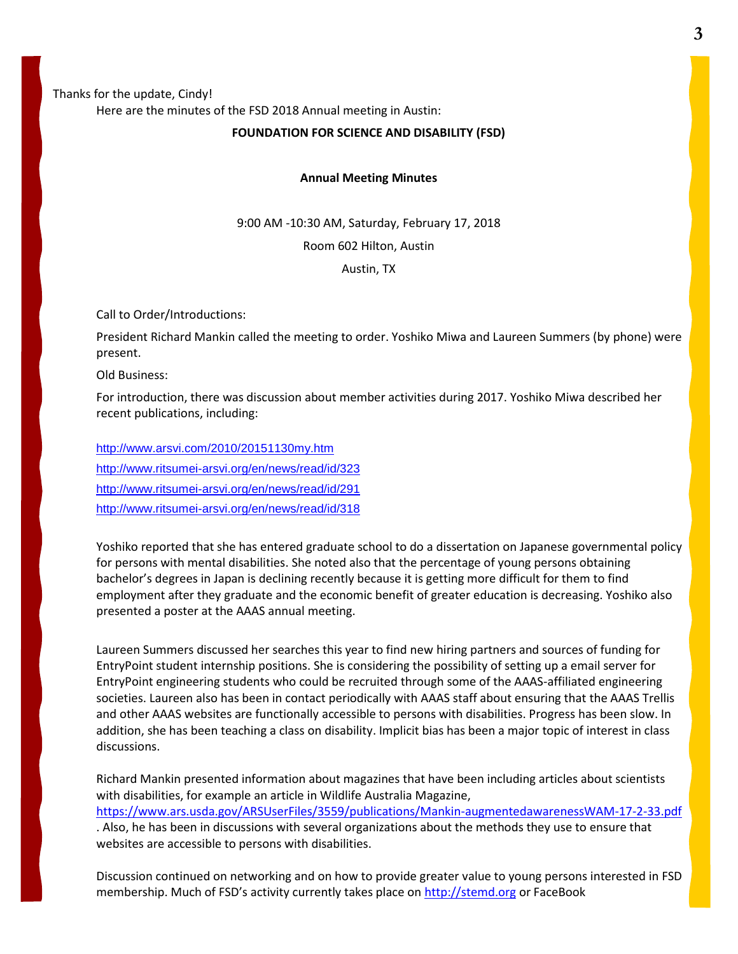#### Thanks for the update, Cindy! Here are the minutes of the FSD 2018 Annual meeting in Austin:

#### **FOUNDATION FOR SCIENCE AND DISABILITY (FSD)**

#### **Annual Meeting Minutes**

9:00 AM -10:30 AM, Saturday, February 17, 2018

Room 602 Hilton, Austin

Austin, TX

Call to Order/Introductions:

President Richard Mankin called the meeting to order. Yoshiko Miwa and Laureen Summers (by phone) were present.

Old Business:

For introduction, there was discussion about member activities during 2017. Yoshiko Miwa described her recent publications, including:

<http://www.arsvi.com/2010/20151130my.htm> <http://www.ritsumei-arsvi.org/en/news/read/id/323> <http://www.ritsumei-arsvi.org/en/news/read/id/291> <http://www.ritsumei-arsvi.org/en/news/read/id/318>

Yoshiko reported that she has entered graduate school to do a dissertation on Japanese governmental policy for persons with mental disabilities. She noted also that the percentage of young persons obtaining bachelor's degrees in Japan is declining recently because it is getting more difficult for them to find employment after they graduate and the economic benefit of greater education is decreasing. Yoshiko also presented a poster at the AAAS annual meeting.

Laureen Summers discussed her searches this year to find new hiring partners and sources of funding for EntryPoint student internship positions. She is considering the possibility of setting up a email server for EntryPoint engineering students who could be recruited through some of the AAAS-affiliated engineering societies. Laureen also has been in contact periodically with AAAS staff about ensuring that the AAAS Trellis and other AAAS websites are functionally accessible to persons with disabilities. Progress has been slow. In addition, she has been teaching a class on disability. Implicit bias has been a major topic of interest in class discussions.

Richard Mankin presented information about magazines that have been including articles about scientists with disabilities, for example an article in Wildlife Australia Magazine, <https://www.ars.usda.gov/ARSUserFiles/3559/publications/Mankin-augmentedawarenessWAM-17-2-33.pdf> . Also, he has been in discussions with several organizations about the methods they use to ensure that websites are accessible to persons with disabilities.

Discussion continued on networking and on how to provide greater value to young persons interested in FSD membership. Much of FSD's activity currently takes place on [http://stemd.org](http://stemd.org/) or FaceBook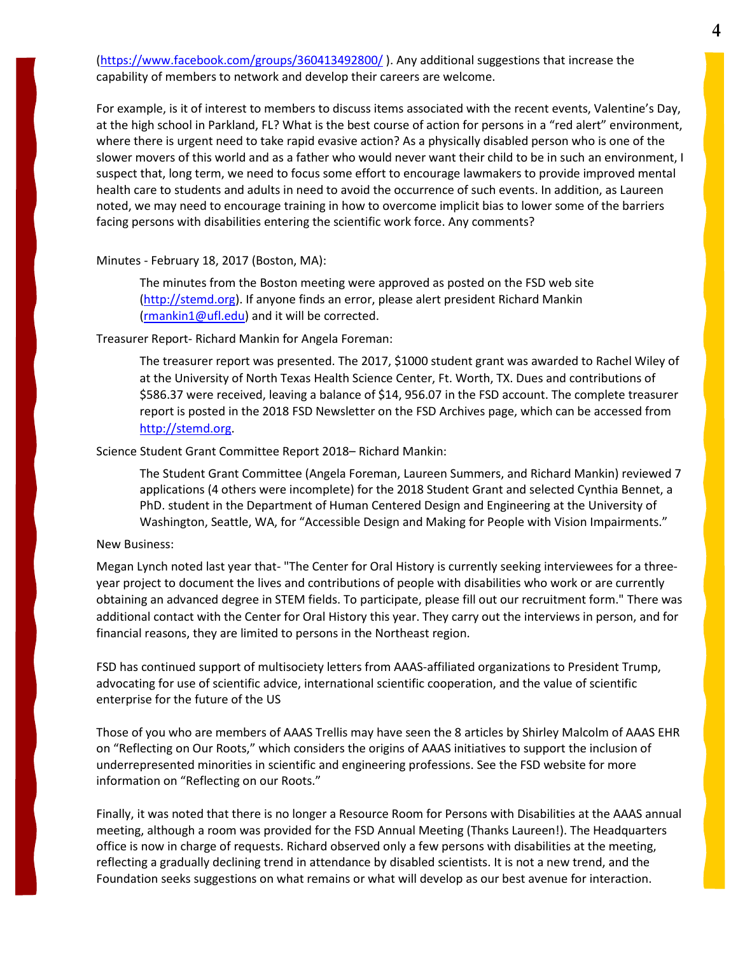[\(https://www.facebook.com/groups/360413492800/](https://www.facebook.com/groups/360413492800/) ). Any additional suggestions that increase the capability of members to network and develop their careers are welcome.

For example, is it of interest to members to discuss items associated with the recent events, Valentine's Day, at the high school in Parkland, FL? What is the best course of action for persons in a "red alert" environment, where there is urgent need to take rapid evasive action? As a physically disabled person who is one of the slower movers of this world and as a father who would never want their child to be in such an environment, I suspect that, long term, we need to focus some effort to encourage lawmakers to provide improved mental health care to students and adults in need to avoid the occurrence of such events. In addition, as Laureen noted, we may need to encourage training in how to overcome implicit bias to lower some of the barriers facing persons with disabilities entering the scientific work force. Any comments?

#### Minutes - February 18, 2017 (Boston, MA):

The minutes from the Boston meeting were approved as posted on the FSD web site [\(http://stemd.org\)](http://stemd.org/). If anyone finds an error, please alert president Richard Mankin [\(rmankin1@ufl.edu\)](mailto:rmankin1@ufl.edu) and it will be corrected.

#### Treasurer Report- Richard Mankin for Angela Foreman:

The treasurer report was presented. The 2017, \$1000 student grant was awarded to Rachel Wiley of at the University of North Texas Health Science Center, Ft. Worth, TX. Dues and contributions of \$586.37 were received, leaving a balance of \$14, 956.07 in the FSD account. The complete treasurer report is posted in the 2018 FSD Newsletter on the FSD Archives page, which can be accessed from [http://stemd.org.](http://stemd.org/)

#### Science Student Grant Committee Report 2018– Richard Mankin:

The Student Grant Committee (Angela Foreman, Laureen Summers, and Richard Mankin) reviewed 7 applications (4 others were incomplete) for the 2018 Student Grant and selected Cynthia Bennet, a PhD. student in the Department of Human Centered Design and Engineering at the University of Washington, Seattle, WA, for "Accessible Design and Making for People with Vision Impairments."

#### New Business:

Megan Lynch noted last year that- "The Center for Oral History is currently seeking interviewees for a threeyear project to document the lives and contributions of people with disabilities who work or are currently obtaining an advanced degree in STEM fields. To participate, please fill out our recruitment form." There was additional contact with the Center for Oral History this year. They carry out the interviews in person, and for financial reasons, they are limited to persons in the Northeast region.

FSD has continued support of multisociety letters from AAAS-affiliated organizations to President Trump, advocating for use of scientific advice, international scientific cooperation, and the value of scientific enterprise for the future of the US

Those of you who are members of AAAS Trellis may have seen the 8 articles by Shirley Malcolm of AAAS EHR on "Reflecting on Our Roots," which considers the origins of AAAS initiatives to support the inclusion of underrepresented minorities in scientific and engineering professions. See the FSD website for more information on "Reflecting on our Roots."

Finally, it was noted that there is no longer a Resource Room for Persons with Disabilities at the AAAS annual meeting, although a room was provided for the FSD Annual Meeting (Thanks Laureen!). The Headquarters office is now in charge of requests. Richard observed only a few persons with disabilities at the meeting, reflecting a gradually declining trend in attendance by disabled scientists. It is not a new trend, and the Foundation seeks suggestions on what remains or what will develop as our best avenue for interaction.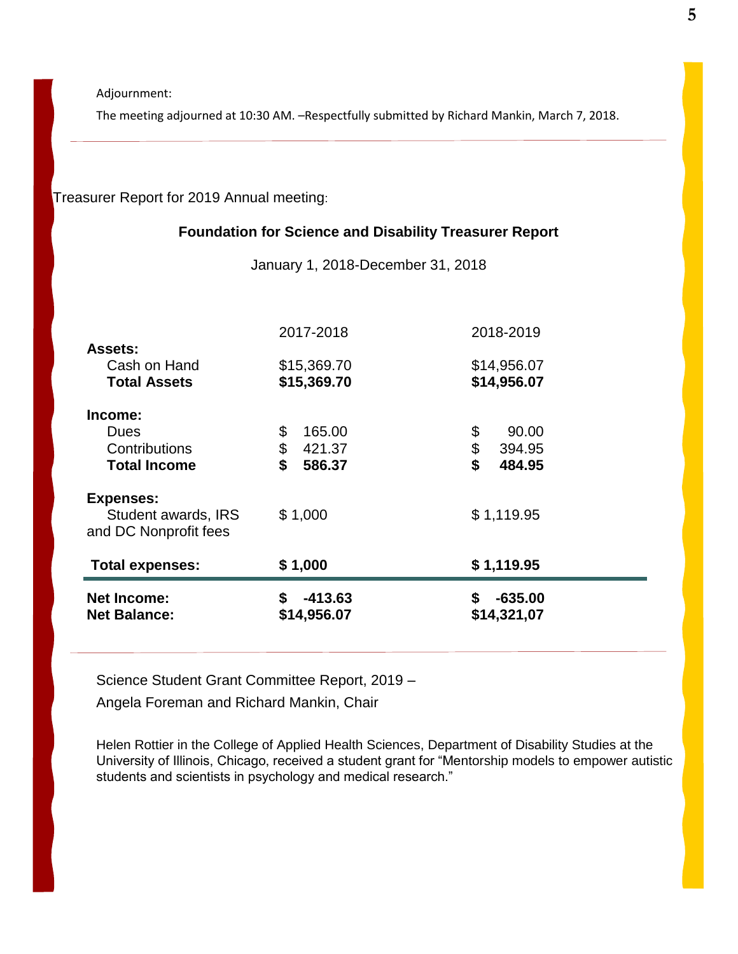Adjournment:

The meeting adjourned at 10:30 AM. –Respectfully submitted by Richard Mankin, March 7, 2018.

Treasurer Report for 2019 Annual meeting:

#### **Foundation for Science and Disability Treasurer Report**

January 1, 2018-December 31, 2018

|                                                                  | 2017-2018                                    | 2018-2019                                   |
|------------------------------------------------------------------|----------------------------------------------|---------------------------------------------|
| <b>Assets:</b><br>Cash on Hand<br><b>Total Assets</b>            | \$15,369.70<br>\$15,369.70                   | \$14,956.07<br>\$14,956.07                  |
| Income:<br><b>Dues</b><br>Contributions<br><b>Total Income</b>   | \$<br>165.00<br>\$<br>421.37<br>\$<br>586.37 | \$<br>90.00<br>\$<br>394.95<br>\$<br>484.95 |
| <b>Expenses:</b><br>Student awards, IRS<br>and DC Nonprofit fees | \$1,000                                      | \$1,119.95                                  |
| <b>Total expenses:</b>                                           | \$1,000                                      | \$1,119.95                                  |
| <b>Net Income:</b><br><b>Net Balance:</b>                        | $-413.63$<br>\$<br>\$14,956.07               | $-635.00$<br>\$<br>\$14,321,07              |

Science Student Grant Committee Report, 2019 –

Angela Foreman and Richard Mankin, Chair

Helen Rottier in the College of Applied Health Sciences, Department of Disability Studies at the University of Illinois, Chicago, received a student grant for "Mentorship models to empower autistic students and scientists in psychology and medical research."